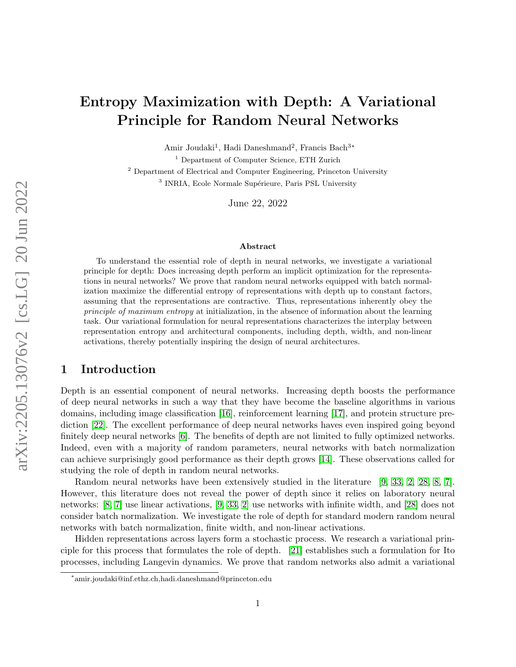# Entropy Maximization with Depth: A Variational Principle for Random Neural Networks

Amir Joudaki<sup>1</sup>, Hadi Daneshmand<sup>2</sup>, Francis Bach<sup>3\*</sup>

<sup>1</sup> Department of Computer Science, ETH Zurich

<sup>2</sup> Department of Electrical and Computer Engineering, Princeton University <sup>3</sup> INRIA, Ecole Normale Supérieure, Paris PSL University

June 22, 2022

#### Abstract

To understand the essential role of depth in neural networks, we investigate a variational principle for depth: Does increasing depth perform an implicit optimization for the representations in neural networks? We prove that random neural networks equipped with batch normalization maximize the differential entropy of representations with depth up to constant factors, assuming that the representations are contractive. Thus, representations inherently obey the principle of maximum entropy at initialization, in the absence of information about the learning task. Our variational formulation for neural representations characterizes the interplay between representation entropy and architectural components, including depth, width, and non-linear activations, thereby potentially inspiring the design of neural architectures.

### 1 Introduction

Depth is an essential component of neural networks. Increasing depth boosts the performance of deep neural networks in such a way that they have become the baseline algorithms in various domains, including image classification [\[16\]](#page-11-0), reinforcement learning [\[17\]](#page-11-1), and protein structure prediction [\[22\]](#page-12-0). The excellent performance of deep neural networks haves even inspired going beyond finitely deep neural networks [\[6\]](#page-11-2). The benefits of depth are not limited to fully optimized networks. Indeed, even with a majority of random parameters, neural networks with batch normalization can achieve surprisingly good performance as their depth grows [\[14\]](#page-11-3). These observations called for studying the role of depth in random neural networks.

Random neural networks have been extensively studied in the literature [\[9,](#page-11-4) [33,](#page-12-1) [2,](#page-10-0) [28,](#page-12-2) [8,](#page-11-5) [7\]](#page-11-6). However, this literature does not reveal the power of depth since it relies on laboratory neural networks: [\[8,](#page-11-5) [7\]](#page-11-6) use linear activations, [\[9,](#page-11-4) [33,](#page-12-1) [2\]](#page-10-0) use networks with infinite width, and [\[28\]](#page-12-2) does not consider batch normalization. We investigate the role of depth for standard modern random neural networks with batch normalization, finite width, and non-linear activations.

Hidden representations across layers form a stochastic process. We research a variational principle for this process that formulates the role of depth. [\[21\]](#page-12-3) establishes such a formulation for Ito processes, including Langevin dynamics. We prove that random networks also admit a variational

<sup>∗</sup> amir.joudaki@inf.ethz.ch,hadi.daneshmand@princeton.edu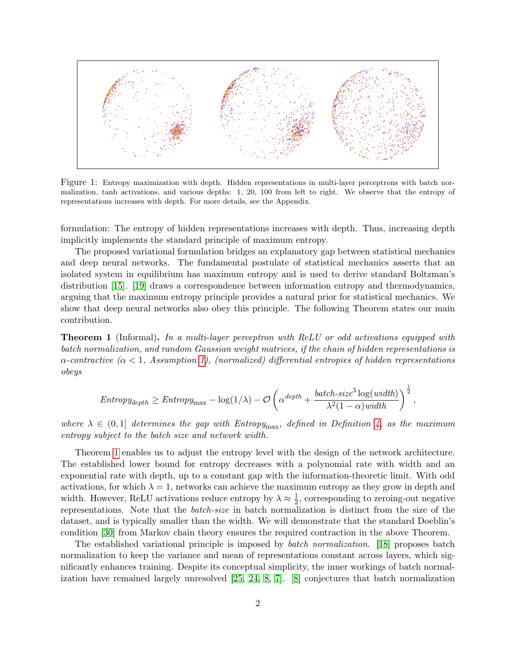<span id="page-1-1"></span>

Figure 1: Entropy maximization with depth. Hidden representations in multi-layer perceptrons with batch normalization, tanh activations, and various depths: 1, 20, 100 from left to right. We observe that the entropy of representations increases with depth. For more details, see the Appendix.

formulation: The entropy of hidden representations increases with depth. Thus, increasing depth implicitly implements the standard principle of maximum entropy.

The proposed variational formulation bridges an explanatory gap between statistical mechanics and deep neural networks. The fundamental postulate of statistical mechanics asserts that an isolated system in equilibrium has maximum entropy and is used to derive standard Boltzman's distribution [\[15\]](#page-11-7). [\[19\]](#page-11-8) draws a correspondence between information entropy and thermodynamics, arguing that the maximum entropy principle provides a natural prior for statistical mechanics. We show that deep neural networks also obey this principle. The following Theorem states our main contribution.

<span id="page-1-0"></span>**Theorem 1** (Informal). In a multi-layer perceptron with ReLU or odd activations equipped with batch normalization, and random Gaussian weight matrices, if the chain of hidden representations is  $\alpha$ -contractive ( $\alpha$  < 1, Assumption [1\)](#page-4-0), (normalized) differential entropies of hidden representations obeys

$$
Entropy_{depth} \geq Entropy_{\max} - \log(1/\lambda) - \mathcal{O}\left(\alpha^{depth} + \frac{batch-size^3\log(width)}{\lambda^2(1-\alpha)width}}\right)^{\frac{1}{2}},
$$

where  $\lambda \in (0,1]$  determines the gap with Entropy<sub>max</sub>, defined in Definition [4,](#page-5-0) as the maximum entropy subject to the batch size and network width.

Theorem [1](#page-1-0) enables us to adjust the entropy level with the design of the network architecture. The established lower bound for entropy decreases with a polynomial rate with width and an exponential rate with depth, up to a constant gap with the information-theoretic limit. With odd activations, for which  $\lambda = 1$ , networks can achieve the maximum entropy as they grow in depth and width. However, ReLU activations reduce entropy by  $\lambda \approx \frac{1}{2}$  $\frac{1}{2}$ , corresponding to zeroing-out negative representations. Note that the batch-size in batch normalization is distinct from the size of the dataset, and is typically smaller than the width. We will demonstrate that the standard Doeblin's condition [\[30\]](#page-12-4) from Markov chain theory ensures the required contraction in the above Theorem.

The established variational principle is imposed by batch normalization. [\[18\]](#page-11-9) proposes batch normalization to keep the variance and mean of representations constant across layers, which significantly enhances training. Despite its conceptual simplicity, the inner workings of batch normalization have remained largely unresolved [\[25,](#page-12-5) [24,](#page-12-6) [8,](#page-11-5) [7\]](#page-11-6). [\[8\]](#page-11-5) conjectures that batch normalization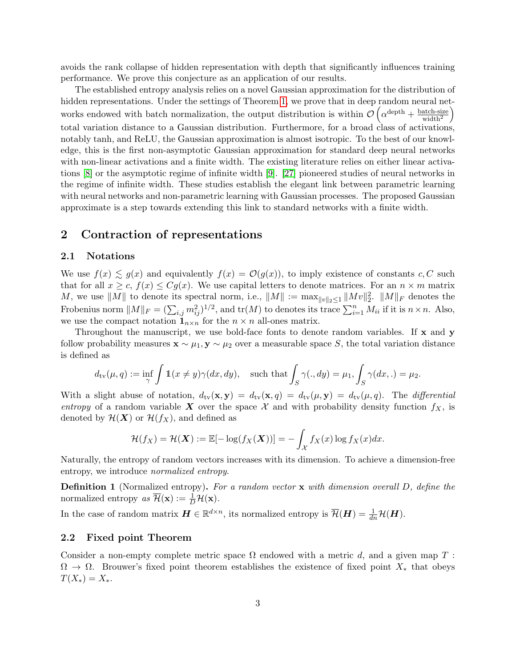avoids the rank collapse of hidden representation with depth that significantly influences training performance. We prove this conjecture as an application of our results.

The established entropy analysis relies on a novel Gaussian approximation for the distribution of hidden representations. Under the settings of Theorem [1,](#page-1-0) we prove that in deep random neural networks endowed with batch normalization, the output distribution is within  $\mathcal{O}\left(\alpha^{\text{depth}} + \frac{\text{batch-size}}{\text{width}^2}\right)$  $\setminus$ total variation distance to a Gaussian distribution. Furthermore, for a broad class of activations, notably tanh, and ReLU, the Gaussian approximation is almost isotropic. To the best of our knowledge, this is the first non-asymptotic Gaussian approximation for standard deep neural networks with non-linear activations and a finite width. The existing literature relies on either linear activations [\[8\]](#page-11-5) or the asymptotic regime of infinite width [\[9\]](#page-11-4). [\[27\]](#page-12-7) pioneered studies of neural networks in the regime of infinite width. These studies establish the elegant link between parametric learning with neural networks and non-parametric learning with Gaussian processes. The proposed Gaussian approximate is a step towards extending this link to standard networks with a finite width.

### <span id="page-2-0"></span>2 Contraction of representations

### 2.1 Notations

We use  $f(x) \leq g(x)$  and equivalently  $f(x) = \mathcal{O}(g(x))$ , to imply existence of constants c, C such that for all  $x \geq c$ ,  $f(x) \leq Cq(x)$ . We use capital letters to denote matrices. For an  $n \times m$  matrix M, we use  $||M||$  to denote its spectral norm, i.e.,  $||M|| := \max_{||v||_2 \leq 1} ||Mv||_2^2$ .  $||M||_F$  denotes the Frobenius norm  $||M||_F = (\sum_{i,j} m_{ij}^2)^{1/2}$ , and  $tr(M)$  to denotes its trace  $\sum_{i=1}^n M_{ii}$  if it is  $n \times n$ . Also, we use the compact notation  $\mathbf{1}_{n\times n}$  for the  $n \times n$  all-ones matrix.

Throughout the manuscript, we use bold-face fonts to denote random variables. If  $x$  and  $y$ follow probability measures  $\mathbf{x} \sim \mu_1, \mathbf{y} \sim \mu_2$  over a measurable space S, the total variation distance is defined as

$$
d_{\text{tv}}(\mu, q) := \inf_{\gamma} \int \mathbb{1}(x \neq y) \gamma(dx, dy), \quad \text{such that} \int_{S} \gamma(., dy) = \mu_1, \int_{S} \gamma(dx, .) = \mu_2.
$$

With a slight abuse of notation,  $d_{\text{tv}}(\mathbf{x}, \mathbf{y}) = d_{\text{tv}}(\mathbf{x}, q) = d_{\text{tv}}(\mu, \mathbf{y}) = d_{\text{tv}}(\mu, q)$ . The *differential* entropy of a random variable X over the space X and with probability density function  $f_X$ , is denoted by  $\mathcal{H}(\boldsymbol{X})$  or  $\mathcal{H}(f_X)$ , and defined as

$$
\mathcal{H}(f_X) = \mathcal{H}(\boldsymbol{X}) := \mathbb{E}[-\log(f_X(\boldsymbol{X}))] = -\int_{\mathcal{X}} f_X(x) \log f_X(x) dx.
$$

Naturally, the entropy of random vectors increases with its dimension. To achieve a dimension-free entropy, we introduce normalized entropy.

**Definition 1** (Normalized entropy). For a random vector x with dimension overall D, define the normalized entropy  $as\ \overline{\mathcal{H}}(\mathbf{x}) := \frac{1}{D}\mathcal{H}(\mathbf{x})$ .

In the case of random matrix  $\boldsymbol{H} \in \mathbb{R}^{d \times n}$ , its normalized entropy is  $\overline{\mathcal{H}}(\boldsymbol{H}) = \frac{1}{dn} \mathcal{H}(\boldsymbol{H})$ .

#### 2.2 Fixed point Theorem

Consider a non-empty complete metric space  $\Omega$  endowed with a metric d, and a given map T:  $\Omega \to \Omega$ . Brouwer's fixed point theorem establishes the existence of fixed point  $X_*$  that obeys  $T(X_*) = X_*$ .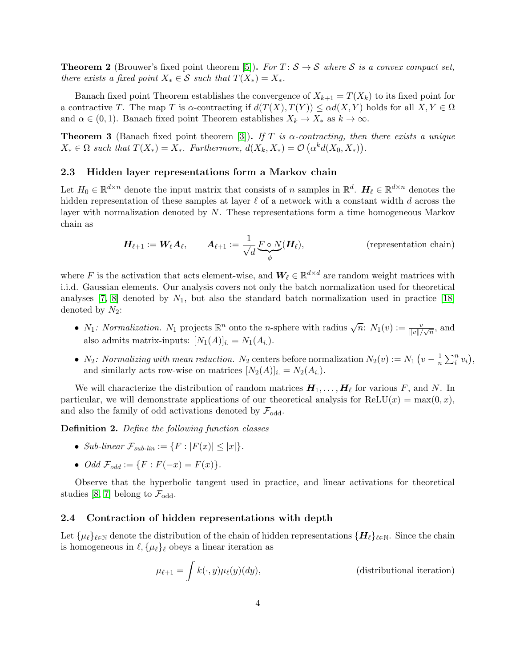**Theorem 2** (Brouwer's fixed point theorem [\[5\]](#page-11-10)). For  $T: \mathcal{S} \to \mathcal{S}$  where  $\mathcal{S}$  is a convex compact set, there exists a fixed point  $X_* \in \mathcal{S}$  such that  $T(X_*) = X_*$ .

Banach fixed point Theorem establishes the convergence of  $X_{k+1} = T(X_k)$  to its fixed point for a contractive T. The map T is  $\alpha$ -contracting if  $d(T(X), T(Y)) \leq \alpha d(X, Y)$  holds for all  $X, Y \in \Omega$ and  $\alpha \in (0,1)$ . Banach fixed point Theorem establishes  $X_k \to X_*$  as  $k \to \infty$ .

**Theorem 3** (Banach fixed point theorem [\[3\]](#page-10-1)). If T is  $\alpha$ -contracting, then there exists a unique  $X_* \in \Omega$  such that  $T(X_*) = X_*$ . Furthermore,  $d(X_k, X_*) = \mathcal{O}(\alpha^k d(X_0, X_*)).$ 

### 2.3 Hidden layer representations form a Markov chain

Let  $H_0 \in \mathbb{R}^{d \times n}$  denote the input matrix that consists of n samples in  $\mathbb{R}^d$ .  $H_\ell \in \mathbb{R}^{d \times n}$  denotes the hidden representation of these samples at layer  $\ell$  of a network with a constant width d across the layer with normalization denoted by N. These representations form a time homogeneous Markov chain as

<span id="page-3-1"></span>
$$
\boldsymbol{H}_{\ell+1} := \boldsymbol{W}_{\ell} \boldsymbol{A}_{\ell}, \qquad \boldsymbol{A}_{\ell+1} := \frac{1}{\sqrt{d}} \underbrace{F \circ N}_{\phi}(\boldsymbol{H}_{\ell}), \qquad (\text{representation chain})
$$

where F is the activation that acts element-wise, and  $\mathbf{W}_{\ell} \in \mathbb{R}^{d \times d}$  are random weight matrices with i.i.d. Gaussian elements. Our analysis covers not only the batch normalization used for theoretical analyses [\[7,](#page-11-6) [8\]](#page-11-5) denoted by  $N_1$ , but also the standard batch normalization used in practice [\[18\]](#page-11-9) denoted by  $N_2$ :

- $N_1$ : Normalization.  $N_1$  projects  $\mathbb{R}^n$  onto the *n*-sphere with radius  $\sqrt{n}$ :  $N_1(v) := \frac{v}{\|v\|/\sqrt{n}}$ , and also admits matrix-inputs:  $[N_1(A)]_{i.} = N_1(A_i)$ .
- $N_2$ : Normalizing with mean reduction. N<sub>2</sub> centers before normalization  $N_2(v) := N_1(v \frac{1}{n})$  $\frac{1}{n} \sum_{i}^{n} v_i$ , and similarly acts row-wise on matrices  $[N_2(A)]_{i.} = N_2(A_{i.})$ .

We will characterize the distribution of random matrices  $H_1, \ldots, H_\ell$  for various F, and N. In particular, we will demonstrate applications of our theoretical analysis for  $ReLU(x) = max(0, x)$ , and also the family of odd activations denoted by  $\mathcal{F}_{odd}$ .

Definition 2. Define the following function classes

- Sub-linear  $\mathcal{F}_{sub-lin} := \{F : |F(x)| \leq |x|\}.$
- *Odd*  $\mathcal{F}_{odd} := \{ F : F(-x) = F(x) \}.$

Observe that the hyperbolic tangent used in practice, and linear activations for theoretical studies [\[8,](#page-11-5) [7\]](#page-11-6) belong to  $\mathcal{F}_{odd}$ .

#### 2.4 Contraction of hidden representations with depth

Let  $\{\mu_\ell\}_{\ell\in\mathbb{N}}$  denote the distribution of the chain of hidden representations  $\{H_\ell\}_{\ell\in\mathbb{N}}$ . Since the chain is homogeneous in  $\ell$ ,  $\{\mu_{\ell}\}_\ell$  obeys a linear iteration as

<span id="page-3-0"></span>
$$
\mu_{\ell+1} = \int k(\cdot, y)\mu_{\ell}(y)(dy), \qquad \text{(distributional iteration)}
$$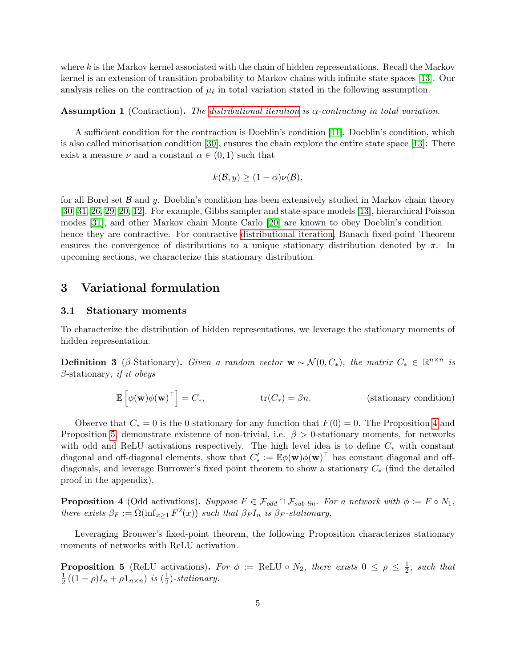where  $k$  is the Markov kernel associated with the chain of hidden representations. Recall the Markov kernel is an extension of transition probability to Markov chains with infinite state spaces [\[13\]](#page-11-11). Our analysis relies on the contraction of  $\mu_{\ell}$  in total variation stated in the following assumption.

#### <span id="page-4-0"></span>Assumption 1 (Contraction). The [distributional iteration](#page-3-0) is α-contracting in total variation.

A sufficient condition for the contraction is Doeblin's condition [\[11\]](#page-11-12). Doeblin's condition, which is also called minorisation condition [\[30\]](#page-12-4), ensures the chain explore the entire state space [\[13\]](#page-11-11): There exist a measure  $\nu$  and a constant  $\alpha \in (0,1)$  such that

$$
k(\mathcal{B}, y) \ge (1 - \alpha)\nu(\mathcal{B}),
$$

for all Borel set  $\beta$  and  $\gamma$ . Doeblin's condition has been extensively studied in Markov chain theory [\[30,](#page-12-4) [31,](#page-12-8) [26,](#page-12-9) [29,](#page-12-10) [20,](#page-12-11) [12\]](#page-11-13). For example, Gibbs sampler and state-space models [\[13\]](#page-11-11), hierarchical Poisson modes [\[31\]](#page-12-8), and other Markov chain Monte Carlo [\[20\]](#page-12-11) are known to obey Doeblin's condition hence they are contractive. For contractive [distributional iteration,](#page-3-0) Banach fixed-point Theorem ensures the convergence of distributions to a unique stationary distribution denoted by  $\pi$ . In upcoming sections, we characterize this stationary distribution.

### 3 Variational formulation

#### 3.1 Stationary moments

To characterize the distribution of hidden representations, we leverage the stationary moments of hidden representation.

**Definition 3** (β-Stationary). Given a random vector  $\mathbf{w} \sim \mathcal{N}(0, C_*)$ , the matrix  $C_* \in \mathbb{R}^{n \times n}$  is  $\beta$ -stationary, *if it obeys* 

$$
\mathbb{E}\left[\phi(\mathbf{w})\phi(\mathbf{w})^{\top}\right] = C_*, \qquad \text{tr}(C_*) = \beta n. \qquad \text{(stationary condition)}
$$

Observe that  $C_* = 0$  is the 0-stationary for any function that  $F(0) = 0$ . The Proposition [4](#page-4-1) and Proposition [5,](#page-4-2) demonstrate existence of non-trivial, i.e.  $\beta > 0$ -stationary moments, for networks with odd and ReLU activations respectively. The high level idea is to define  $C_*$  with constant diagonal and off-diagonal elements, show that  $C_*' := \mathbb{E}\phi(\mathbf{w})\phi(\mathbf{w})^\top$  has constant diagonal and offdiagonals, and leverage Burrower's fixed point theorem to show a stationary C<sup>∗</sup> (find the detailed proof in the appendix).

<span id="page-4-1"></span>**Proposition 4** (Odd activations). Suppose  $F \in \mathcal{F}_{odd} \cap \mathcal{F}_{sub-lin}$ . For a network with  $\phi := F \circ N_1$ , there exists  $\beta_F := \Omega(\inf_{x \geq 1} F^2(x))$  such that  $\beta_F I_n$  is  $\beta_F$ -stationary.

Leveraging Brouwer's fixed-point theorem, the following Proposition characterizes stationary moments of networks with ReLU activation.

<span id="page-4-2"></span>**Proposition 5** (ReLU activations). For  $\phi := \text{ReLU} \circ N_2$ , there exists  $0 \leq \rho \leq \frac{1}{2}$  $\frac{1}{2}$ , such that 1  $\frac{1}{2}((1 - \rho)I_n + \rho \mathbf{1}_{n \times n})$  is  $(\frac{1}{2})$  $(\frac{1}{2})$ -stationary.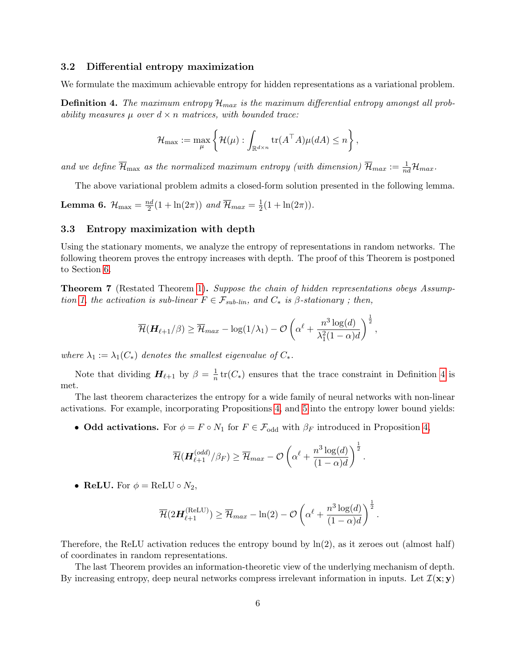#### 3.2 Differential entropy maximization

We formulate the maximum achievable entropy for hidden representations as a variational problem.

<span id="page-5-0"></span>**Definition 4.** The maximum entropy  $\mathcal{H}_{max}$  is the maximum differential entropy amongst all probability measures  $\mu$  over  $d \times n$  matrices, with bounded trace:

$$
\mathcal{H}_{\max} := \max_{\mu} \left\{ \mathcal{H}(\mu) : \int_{\mathbb{R}^{d \times n}} \text{tr}(A^{\top} A) \mu(dA) \leq n \right\},\
$$

and we define  $\overline{\mathcal{H}}_{\max}$  as the normalized maximum entropy (with dimension)  $\overline{\mathcal{H}}_{max} := \frac{1}{nd} \mathcal{H}_{max}$ .

The above variational problem admits a closed-form solution presented in the following lemma.

<span id="page-5-2"></span>Lemma 6.  ${\cal H}_{\rm max}=\frac{nd}{2}$  $\frac{2d}{2}(1+\ln(2\pi))$  and  $\overline{\mathcal{H}}_{max}=\frac{1}{2}$  $rac{1}{2}(1 + \ln(2\pi)).$ 

#### 3.3 Entropy maximization with depth

Using the stationary moments, we analyze the entropy of representations in random networks. The following theorem proves the entropy increases with depth. The proof of this Theorem is postponed to Section [6.](#page-7-0)

<span id="page-5-1"></span>**Theorem 7** (Restated Theorem [1\)](#page-1-0). Suppose the chain of hidden representations obeys Assump-tion [1,](#page-4-0) the activation is sub-linear  $F \in \mathcal{F}_{sub-lin}$ , and  $C_*$  is  $\beta$ -stationary; then,

$$
\overline{\mathcal{H}}(\boldsymbol{H}_{\ell+1}/\beta) \geq \overline{\mathcal{H}}_{max} - \log(1/\lambda_1) - \mathcal{O}\left(\alpha^{\ell} + \frac{n^3\log(d)}{\lambda_1^2(1-\alpha)d}\right)^{\frac{1}{2}},
$$

where  $\lambda_1 := \lambda_1(C_*)$  denotes the smallest eigenvalue of  $C_*$ .

Note that dividing  $H_{\ell+1}$  by  $\beta = \frac{1}{n}$  $\frac{1}{n}$  tr( $C_*$ ) ensures that the trace constraint in Definition [4](#page-5-0) is met.

The last theorem characterizes the entropy for a wide family of neural networks with non-linear activations. For example, incorporating Propositions [4,](#page-4-1) and [5](#page-4-2) into the entropy lower bound yields:

• Odd activations. For  $\phi = F \circ N_1$  for  $F \in \mathcal{F}_{odd}$  with  $\beta_F$  introduced in Proposition [4,](#page-4-1)

$$
\overline{\mathcal{H}}(\boldsymbol{H}_{\ell+1}^{(odd)}/\beta_F) \geq \overline{\mathcal{H}}_{max} - \mathcal{O}\left(\alpha^{\ell} + \frac{n^3\log(d)}{(1-\alpha)d}\right)^{\frac{1}{2}}.
$$

• **ReLU.** For  $\phi = \text{ReLU} \circ N_2$ ,

$$
\overline{\mathcal{H}}(2\boldsymbol{H}_{\ell+1}^{(\mathrm{ReLU})}) \geq \overline{\mathcal{H}}_{max} - \ln(2) - \mathcal{O}\left(\alpha^{\ell} + \frac{n^3\log(d)}{(1-\alpha)d}\right)^{\frac{1}{2}}.
$$

Therefore, the ReLU activation reduces the entropy bound by ln(2), as it zeroes out (almost half) of coordinates in random representations.

The last Theorem provides an information-theoretic view of the underlying mechanism of depth. By increasing entropy, deep neural networks compress irrelevant information in inputs. Let  $\mathcal{I}(x; y)$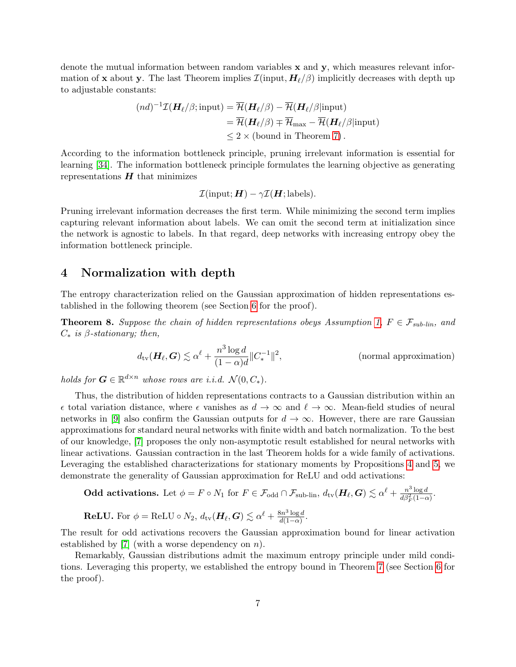denote the mutual information between random variables  $x$  and  $y$ , which measures relevant information of x about y. The last Theorem implies  $\mathcal{I}$ (input,  $H_{\ell}/\beta$ ) implicitly decreases with depth up to adjustable constants:

$$
(nd)^{-1}\mathcal{I}(\mathbf{H}_{\ell}/\beta; \text{input}) = \overline{\mathcal{H}}(\mathbf{H}_{\ell}/\beta) - \overline{\mathcal{H}}(\mathbf{H}_{\ell}/\beta|\text{input})
$$
  
=  $\overline{\mathcal{H}}(\mathbf{H}_{\ell}/\beta) \mp \overline{\mathcal{H}}_{\text{max}} - \overline{\mathcal{H}}(\mathbf{H}_{\ell}/\beta|\text{input})$   
 $\leq 2 \times (\text{bound in Theorem 7}).$ 

According to the information bottleneck principle, pruning irrelevant information is essential for learning [\[34\]](#page-12-12). The information bottleneck principle formulates the learning objective as generating representations  $H$  that minimizes

$$
\mathcal{I}(\text{input}; \boldsymbol{H}) - \gamma \mathcal{I}(\boldsymbol{H}; \text{labels}).
$$

Pruning irrelevant information decreases the first term. While minimizing the second term implies capturing relevant information about labels. We can omit the second term at initialization since the network is agnostic to labels. In that regard, deep networks with increasing entropy obey the information bottleneck principle.

### 4 Normalization with depth

The entropy characterization relied on the Gaussian approximation of hidden representations established in the following theorem (see Section [6](#page-7-0) for the proof).

<span id="page-6-0"></span>**Theorem 8.** Suppose the chain of hidden representations obeys Assumption [1,](#page-4-0)  $F \in \mathcal{F}_{sub-lin}$ , and  $C_*$  is  $\beta$ -stationary; then,

$$
d_{\text{tv}}(\boldsymbol{H}_{\ell}, \boldsymbol{G}) \lesssim \alpha^{\ell} + \frac{n^3 \log d}{(1 - \alpha)d} \|C_*^{-1}\|^2,
$$
 (normal approximation)

holds for  $G \in \mathbb{R}^{d \times n}$  whose rows are i.i.d.  $\mathcal{N}(0, C_*)$ .

Thus, the distribution of hidden representations contracts to a Gaussian distribution within an  $\epsilon$  total variation distance, where  $\epsilon$  vanishes as  $d \to \infty$  and  $\ell \to \infty$ . Mean-field studies of neural networks in [\[9\]](#page-11-4) also confirm the Gaussian outputs for  $d \to \infty$ . However, there are rare Gaussian approximations for standard neural networks with finite width and batch normalization. To the best of our knowledge, [\[7\]](#page-11-6) proposes the only non-asymptotic result established for neural networks with linear activations. Gaussian contraction in the last Theorem holds for a wide family of activations. Leveraging the established characterizations for stationary moments by Propositions [4](#page-4-1) and [5,](#page-4-2) we demonstrate the generality of Gaussian approximation for ReLU and odd activations:

**Odd activations.** Let 
$$
\phi = F \circ N_1
$$
 for  $F \in \mathcal{F}_{odd} \cap \mathcal{F}_{sub-lin}$ ,  $d_{\text{tv}}(\mathbf{H}_{\ell}, \mathbf{G}) \lesssim \alpha^{\ell} + \frac{n^3 \log d}{d\beta_F^2 (1-\alpha)}$ .  
\n**ReLU.** For  $\phi = \text{ReLU} \circ N_2$ ,  $d_{\text{tv}}(\mathbf{H}_{\ell}, \mathbf{G}) \lesssim \alpha^{\ell} + \frac{8n^3 \log d}{d(1-\alpha)}$ .

The result for odd activations recovers the Gaussian approximation bound for linear activation established by [\[7\]](#page-11-6) (with a worse dependency on  $n$ ).

Remarkably, Gaussian distributions admit the maximum entropy principle under mild conditions. Leveraging this property, we established the entropy bound in Theorem [7](#page-5-1) (see Section [6](#page-7-0) for the proof).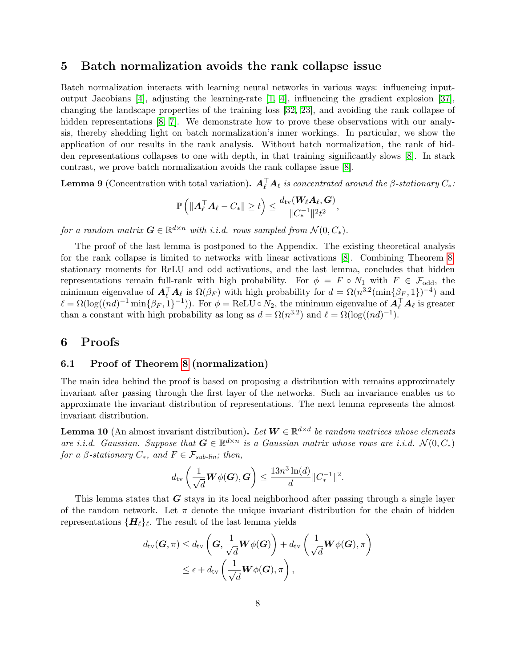### 5 Batch normalization avoids the rank collapse issue

Batch normalization interacts with learning neural networks in various ways: influencing inputoutput Jacobians [\[4\]](#page-10-2), adjusting the learning-rate [\[1,](#page-10-3) [4\]](#page-10-2), influencing the gradient explosion [\[37\]](#page-13-0), changing the landscape properties of the training loss [\[32,](#page-12-13) [23\]](#page-12-14), and avoiding the rank collapse of hidden representations [\[8,](#page-11-5) [7\]](#page-11-6). We demonstrate how to prove these observations with our analysis, thereby shedding light on batch normalization's inner workings. In particular, we show the application of our results in the rank analysis. Without batch normalization, the rank of hidden representations collapses to one with depth, in that training significantly slows [\[8\]](#page-11-5). In stark contrast, we prove batch normalization avoids the rank collapse issue [\[8\]](#page-11-5).

<span id="page-7-2"></span>**Lemma 9** (Concentration with total variation).  $\mathbf{A}_{\ell}^{\top} \mathbf{A}_{\ell}$  is concentrated around the  $\beta$ -stationary  $C_*$ :

$$
\mathbb{P}\left(\|\boldsymbol{A}_{\ell}^{\top}\boldsymbol{A}_{\ell}-C_*\|\geq t\right)\leq \frac{d_\mathrm{tv}(\boldsymbol{W}_{\ell}\boldsymbol{A}_{\ell},\boldsymbol{G})}{\|C_*^{-1}\|^2 t^2},
$$

for a random matrix  $\boldsymbol{G} \in \mathbb{R}^{d \times n}$  with i.i.d. rows sampled from  $\mathcal{N}(0, C_*)$ .

The proof of the last lemma is postponed to the Appendix. The existing theoretical analysis for the rank collapse is limited to networks with linear activations [\[8\]](#page-11-5). Combining Theorem [8,](#page-6-0) stationary moments for ReLU and odd activations, and the last lemma, concludes that hidden representations remain full-rank with high probability. For  $\phi = F \circ N_1$  with  $F \in \mathcal{F}_{odd}$ , the minimum eigenvalue of  $\mathbf{A}_{\ell}^{\top} \mathbf{A}_{\ell}$  is  $\Omega(\beta_F)$  with high probability for  $d = \Omega(n^{3.2}(\min\{\beta_F, 1\})^{-4})$  and  $\ell = \Omega(\log((nd)^{-1} \min\{\beta_F, 1\}^{-1}))$ . For  $\phi = \text{ReLU} \circ N_2$ , the minimum eigenvalue of  $\mathbf{A}_{\ell}^{\top} \mathbf{A}_{\ell}$  is greater than a constant with high probability as long as  $d = \Omega(n^{3.2})$  and  $\ell = \Omega(\log((nd)^{-1})$ .

### <span id="page-7-0"></span>6 Proofs

#### 6.1 Proof of Theorem [8](#page-6-0) (normalization)

The main idea behind the proof is based on proposing a distribution with remains approximately invariant after passing through the first layer of the networks. Such an invariance enables us to approximate the invariant distribution of representations. The next lemma represents the almost invariant distribution.

<span id="page-7-1"></span>**Lemma 10** (An almost invariant distribution). Let  $W \in \mathbb{R}^{d \times d}$  be random matrices whose elements are i.i.d. Gaussian. Suppose that  $G \in \mathbb{R}^{d \times n}$  is a Gaussian matrix whose rows are i.i.d.  $\mathcal{N}(0, C_*)$ for a  $\beta$ -stationary  $C_*$ , and  $F \in \mathcal{F}_{sub-lin}$ ; then,

$$
d_{\text{tv}}\left(\frac{1}{\sqrt{d}}\boldsymbol{W}\phi(\boldsymbol{G}),\boldsymbol{G}\right) \leq \frac{13n^3\ln(d)}{d}\|C_*^{-1}\|^2.
$$

This lemma states that G stays in its local neighborhood after passing through a single layer of the random network. Let  $\pi$  denote the unique invariant distribution for the chain of hidden representations  $\{H_{\ell}\}_{\ell}$ . The result of the last lemma yields

$$
d_{\text{tv}}(\mathbf{G}, \pi) \leq d_{\text{tv}}\left(\mathbf{G}, \frac{1}{\sqrt{d}} \mathbf{W} \phi(\mathbf{G})\right) + d_{\text{tv}}\left(\frac{1}{\sqrt{d}} \mathbf{W} \phi(\mathbf{G}), \pi\right)
$$
  

$$
\leq \epsilon + d_{\text{tv}}\left(\frac{1}{\sqrt{d}} \mathbf{W} \phi(\mathbf{G}), \pi\right),
$$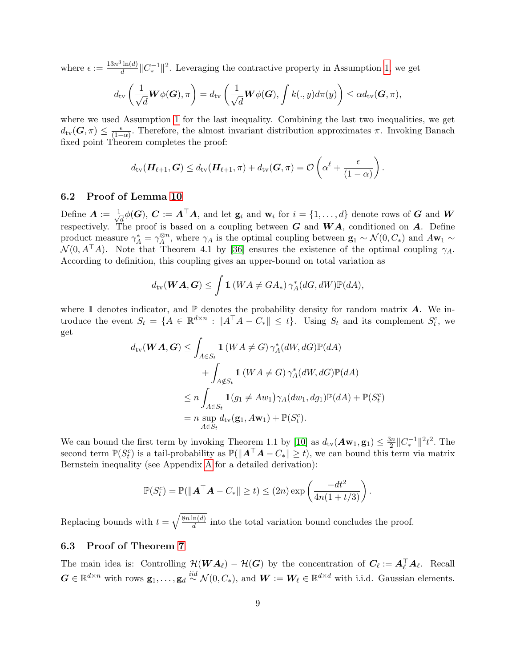where  $\epsilon := \frac{13n^3 \ln(d)}{d}$  $\frac{\ln(d)}{d} \|C_*^{-1}\|^2$ . Leveraging the contractive property in Assumption [1,](#page-4-0) we get

$$
d_{\text{tv}}\left(\frac{1}{\sqrt{d}}\boldsymbol{W}\phi(\boldsymbol{G}),\pi\right) = d_{\text{tv}}\left(\frac{1}{\sqrt{d}}\boldsymbol{W}\phi(\boldsymbol{G}),\int k(.,y)d\pi(y)\right) \leq \alpha d_{\text{tv}}(\boldsymbol{G},\pi),
$$

where we used Assumption [1](#page-4-0) for the last inequality. Combining the last two inequalities, we get  $d_{\text{tv}}(G, \pi) \leq \frac{\epsilon}{1-\epsilon}$  $\frac{\epsilon}{(1-\alpha)}$ . Therefore, the almost invariant distribution approximates  $\pi$ . Invoking Banach fixed point Theorem completes the proof:

$$
d_{\text{tv}}(\boldsymbol{H}_{\ell+1},\boldsymbol{G}) \leq d_{\text{tv}}(\boldsymbol{H}_{\ell+1},\pi) + d_{\text{tv}}(\boldsymbol{G},\pi) = \mathcal{O}\left(\alpha^{\ell} + \frac{\epsilon}{(1-\alpha)}\right).
$$

#### 6.2 Proof of Lemma [10](#page-7-1)

Define  $\mathbf{A} := \frac{1}{\sqrt{2}}$  $d_{\overline{d}}\phi(G),\, \bm{C}:=\bm{A}^\top\bm{A},\, \text{and let $\mathbf{g}_i$ and $\mathbf{w}_i$ for $i=\{1,\ldots,d\}$ denote rows of $\bm{G}$ and $\bm{W}_i$}.$ respectively. The proof is based on a coupling between  $G$  and  $WA$ , conditioned on  $A$ . Define product measure  $\gamma_A^* = \gamma_A^{\otimes n}$  $\mathcal{A}^{8n}$ , where  $\gamma_A$  is the optimal coupling between  $\mathbf{g}_1 \sim \mathcal{N}(0, C_*)$  and  $A\mathbf{w}_1 \sim$  $\mathcal{N}(0, A^{\top}A)$ . Note that Theorem 4.1 by [\[36\]](#page-13-1) ensures the existence of the optimal coupling  $\gamma_A$ . According to definition, this coupling gives an upper-bound on total variation as

$$
d_{\text{tv}}(\boldsymbol{W}\boldsymbol{A},\boldsymbol{G}) \leq \int \mathbb{1}\left(W\boldsymbol{A} \neq \boldsymbol{G}\boldsymbol{A}_*\right) \gamma^*_{\boldsymbol{A}}(d\boldsymbol{G}, d\boldsymbol{W}) \mathbb{P}(d\boldsymbol{A}),
$$

where 1 denotes indicator, and  $\mathbb P$  denotes the probability density for random matrix  $\mathbf A$ . We introduce the event  $S_t = \{A \in \mathbb{R}^{d \times n} : \|A^\top A - C_*\| \leq t\}$ . Using  $S_t$  and its complement  $S_t^c$ , we get

$$
d_{\text{tv}}(\boldsymbol{W}\boldsymbol{A},\boldsymbol{G}) \leq \int_{A \in S_t} 1(\boldsymbol{W}\boldsymbol{A} \neq \boldsymbol{G}) \gamma_A^*(d\boldsymbol{W}, d\boldsymbol{G}) \mathbb{P}(d\boldsymbol{A})
$$
  
+ 
$$
\int_{A \notin S_t} 1(\boldsymbol{W}\boldsymbol{A} \neq \boldsymbol{G}) \gamma_A^*(d\boldsymbol{W}, d\boldsymbol{G}) \mathbb{P}(d\boldsymbol{A})
$$
  

$$
\leq n \int_{A \in S_t} 1(g_1 \neq A w_1) \gamma_A(dw_1, dg_1) \mathbb{P}(d\boldsymbol{A}) + \mathbb{P}(S_t^c)
$$
  
= 
$$
n \sup_{A \in S_t} d_{\text{tv}}(\mathbf{g}_1, A\mathbf{w}_1) + \mathbb{P}(S_t^c).
$$

We can bound the first term by invoking Theorem 1.1 by [\[10\]](#page-11-14) as  $d_{\text{tv}}(\mathbf{A}\mathbf{w}_1, \mathbf{g}_1) \leq \frac{3n}{2}$  $\frac{3n}{2}||C_*^{-1}||^2t^2$ . The second term  $\mathbb{P}(S_t^c)$  is a tail-probability as  $\mathbb{P}(\|\mathbf{A}^\top \mathbf{A} - C_*\| \ge t)$ , we can bound this term via matrix Bernstein inequality (see Appendix [A](#page-17-0) for a detailed derivation):

$$
\mathbb{P}(S_t^c) = \mathbb{P}(\|\mathbf{A}^\top \mathbf{A} - C_*\| \ge t) \le (2n) \exp\left(\frac{-dt^2}{4n(1+t/3)}\right).
$$

Replacing bounds with  $t = \sqrt{\frac{8n \ln(d)}{d}}$  $\frac{\ln(a)}{d}$  into the total variation bound concludes the proof.

### 6.3 Proof of Theorem [7](#page-5-1)

The main idea is: Controlling  $\mathcal{H}(\boldsymbol{W}\boldsymbol{A}_{\ell}) - \mathcal{H}(\boldsymbol{G})$  by the concentration of  $\boldsymbol{C}_{\ell} := \boldsymbol{A}_{\ell}^{\top} \boldsymbol{A}_{\ell}$ . Recall  $\mathbf{G} \in \mathbb{R}^{d \times n}$  with rows  $\mathbf{g}_1, \ldots, \mathbf{g}_d \stackrel{iid}{\sim} \mathcal{N}(0, C_*)$ , and  $\mathbf{W} := \mathbf{W}_{\ell} \in \mathbb{R}^{d \times d}$  with i.i.d. Gaussian elements.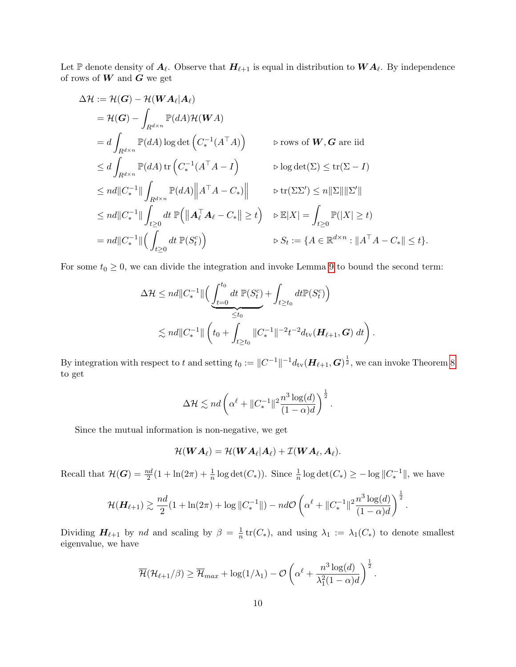Let  $\mathbb P$  denote density of  $A_\ell$ . Observe that  $H_{\ell+1}$  is equal in distribution to  $WA_\ell$ . By independence of rows of  $\boldsymbol{W}$  and  $\boldsymbol{G}$  we get

$$
\Delta \mathcal{H} := \mathcal{H}(G) - \mathcal{H}(WA_{\ell}|A_{\ell})
$$
  
\n
$$
= \mathcal{H}(G) - \int_{R^{d \times n}} \mathbb{P}(dA) \mathcal{H}(WA)
$$
  
\n
$$
= d \int_{R^{d \times n}} \mathbb{P}(dA) \log \det (C_*^{-1}(A^{\top}A)) \qquad \triangleright \text{rows of } W, G \text{ are iid}
$$
  
\n
$$
\leq d \int_{R^{d \times n}} \mathbb{P}(dA) \operatorname{tr} (C_*^{-1}(A^{\top}A - I) \qquad \triangleright \log \det(\Sigma) \leq \operatorname{tr}(\Sigma - I)
$$
  
\n
$$
\leq nd ||C_*^{-1}|| \int_{R^{d \times n}} \mathbb{P}(dA) ||A^{\top}A - C_*|| \qquad \triangleright \operatorname{tr}(\Sigma \Sigma') \leq n ||\Sigma|| ||\Sigma'||
$$
  
\n
$$
\leq nd ||C_*^{-1}|| \int_{t \geq 0} dt \ \mathbb{P} (||A_{\ell}^{\top} A_{\ell} - C_*|| \geq t) \qquad \triangleright \mathbb{E}|X| = \int_{t \geq 0} \mathbb{P}(|X| \geq t)
$$
  
\n
$$
= nd ||C_*^{-1}|| (\int_{t \geq 0} dt \ \mathbb{P}(S_t^c)) \qquad \triangleright S_t := \{A \in \mathbb{R}^{d \times n} : ||A^{\top}A - C_*|| \leq t\}.
$$

For some  $t_0 \geq 0$ , we can divide the integration and invoke Lemma [9](#page-7-2) to bound the second term:

$$
\Delta \mathcal{H} \leq nd \|C_*^{-1}\| \Big( \underbrace{\int_{t=0}^{t_0} dt \ \mathbb{P}(S_t^c)}_{\leq t_0} + \int_{t \geq t_0} dt \mathbb{P}(S_t^c) \Big) \n\lesssim nd \|C_*^{-1}\| \left( t_0 + \int_{t \geq t_0} \|C_*^{-1}\|^{-2} t^{-2} d_{\text{tv}}(\mathbf{H}_{\ell+1}, \mathbf{G}) \ dt \right).
$$

By integration with respect to t and setting  $t_0 := \|C^{-1}\|^{-1} d_{\text{tv}} (\mathbf{H}_{\ell+1}, \mathbf{G})^{\frac{1}{2}}$ , we can invoke Theorem [8](#page-6-0) to get

$$
\Delta \mathcal{H} \lesssim nd \left( \alpha^{\ell} + \|C_*^{-1}\|^2 \frac{n^3 \log(d)}{(1-\alpha)d} \right)^{\frac{1}{2}}.
$$

Since the mutual information is non-negative, we get

$$
\mathcal{H}(\boldsymbol{W}\boldsymbol{A}_{\ell})=\mathcal{H}(\boldsymbol{W}\boldsymbol{A}_{\ell}|\boldsymbol{A}_{\ell})+\mathcal{I}(\boldsymbol{W}\boldsymbol{A}_{\ell},\boldsymbol{A}_{\ell}).
$$

Recall that  $\mathcal{H}(G) = \frac{nd}{2}(1 + \ln(2\pi) + \frac{1}{n}\log \det(C_*))$ . Since  $\frac{1}{n}\log \det(C_*) \ge -\log ||C_*^{-1}||$ , we have

$$
\mathcal{H}(\mathbf{H}_{\ell+1}) \gtrsim \frac{nd}{2} (1 + \ln(2\pi) + \log \|C_*^{-1}\|) - nd\mathcal{O}\left(\alpha^{\ell} + \|C_*^{-1}\|^2 \frac{n^3 \log(d)}{(1 - \alpha)d}\right)^{\frac{1}{2}}.
$$

Dividing  $H_{\ell+1}$  by nd and scaling by  $\beta = \frac{1}{n}$  $\frac{1}{n}$  tr( $C_*$ ), and using  $\lambda_1 := \lambda_1(C_*)$  to denote smallest eigenvalue, we have

$$
\overline{\mathcal{H}}(\mathcal{H}_{\ell+1}/\beta) \geq \overline{\mathcal{H}}_{max} + \log(1/\lambda_1) - \mathcal{O}\left(\alpha^{\ell} + \frac{n^3\log(d)}{\lambda_1^2(1-\alpha)d}\right)^{\frac{1}{2}}.
$$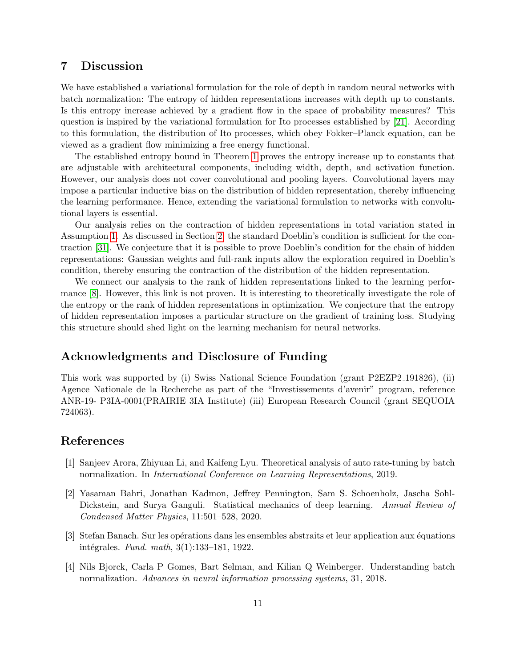### 7 Discussion

We have established a variational formulation for the role of depth in random neural networks with batch normalization: The entropy of hidden representations increases with depth up to constants. Is this entropy increase achieved by a gradient flow in the space of probability measures? This question is inspired by the variational formulation for Ito processes established by [\[21\]](#page-12-3). According to this formulation, the distribution of Ito processes, which obey Fokker–Planck equation, can be viewed as a gradient flow minimizing a free energy functional.

The established entropy bound in Theorem [1](#page-1-0) proves the entropy increase up to constants that are adjustable with architectural components, including width, depth, and activation function. However, our analysis does not cover convolutional and pooling layers. Convolutional layers may impose a particular inductive bias on the distribution of hidden representation, thereby influencing the learning performance. Hence, extending the variational formulation to networks with convolutional layers is essential.

Our analysis relies on the contraction of hidden representations in total variation stated in Assumption [1.](#page-4-0) As discussed in Section [2,](#page-2-0) the standard Doeblin's condition is sufficient for the contraction [\[31\]](#page-12-8). We conjecture that it is possible to prove Doeblin's condition for the chain of hidden representations: Gaussian weights and full-rank inputs allow the exploration required in Doeblin's condition, thereby ensuring the contraction of the distribution of the hidden representation.

We connect our analysis to the rank of hidden representations linked to the learning performance [\[8\]](#page-11-5). However, this link is not proven. It is interesting to theoretically investigate the role of the entropy or the rank of hidden representations in optimization. We conjecture that the entropy of hidden representation imposes a particular structure on the gradient of training loss. Studying this structure should shed light on the learning mechanism for neural networks.

# Acknowledgments and Disclosure of Funding

This work was supported by (i) Swiss National Science Foundation (grant P2EZP2 191826), (ii) Agence Nationale de la Recherche as part of the "Investissements d'avenir" program, reference ANR-19- P3IA-0001(PRAIRIE 3IA Institute) (iii) European Research Council (grant SEQUOIA 724063).

### References

- <span id="page-10-3"></span>[1] Sanjeev Arora, Zhiyuan Li, and Kaifeng Lyu. Theoretical analysis of auto rate-tuning by batch normalization. In International Conference on Learning Representations, 2019.
- <span id="page-10-0"></span>[2] Yasaman Bahri, Jonathan Kadmon, Jeffrey Pennington, Sam S. Schoenholz, Jascha Sohl-Dickstein, and Surya Ganguli. Statistical mechanics of deep learning. Annual Review of Condensed Matter Physics, 11:501–528, 2020.
- <span id="page-10-1"></span>[3] Stefan Banach. Sur les opérations dans les ensembles abstraits et leur application aux équations intégrales. Fund. math,  $3(1):133-181$ , 1922.
- <span id="page-10-2"></span>[4] Nils Bjorck, Carla P Gomes, Bart Selman, and Kilian Q Weinberger. Understanding batch normalization. Advances in neural information processing systems, 31, 2018.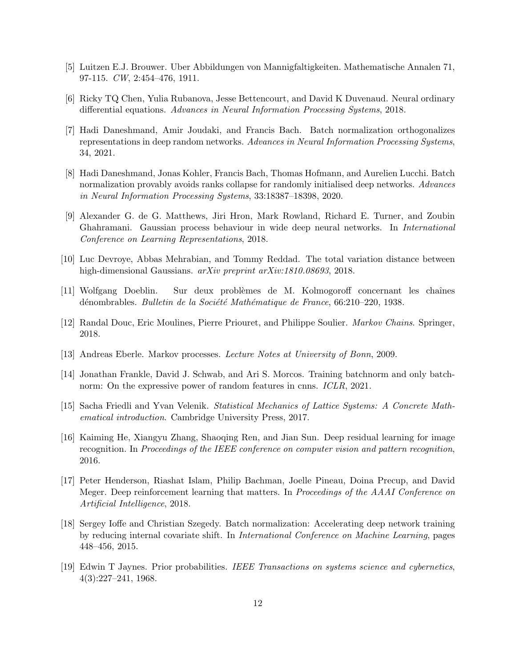- <span id="page-11-10"></span>[5] Luitzen E.J. Brouwer. Uber Abbildungen von Mannigfaltigkeiten. Mathematische Annalen 71, 97-115. CW, 2:454–476, 1911.
- <span id="page-11-2"></span>[6] Ricky TQ Chen, Yulia Rubanova, Jesse Bettencourt, and David K Duvenaud. Neural ordinary differential equations. Advances in Neural Information Processing Systems, 2018.
- <span id="page-11-6"></span>[7] Hadi Daneshmand, Amir Joudaki, and Francis Bach. Batch normalization orthogonalizes representations in deep random networks. Advances in Neural Information Processing Systems, 34, 2021.
- <span id="page-11-5"></span>[8] Hadi Daneshmand, Jonas Kohler, Francis Bach, Thomas Hofmann, and Aurelien Lucchi. Batch normalization provably avoids ranks collapse for randomly initialised deep networks. Advances in Neural Information Processing Systems, 33:18387–18398, 2020.
- <span id="page-11-4"></span>[9] Alexander G. de G. Matthews, Jiri Hron, Mark Rowland, Richard E. Turner, and Zoubin Ghahramani. Gaussian process behaviour in wide deep neural networks. In International Conference on Learning Representations, 2018.
- <span id="page-11-14"></span>[10] Luc Devroye, Abbas Mehrabian, and Tommy Reddad. The total variation distance between high-dimensional Gaussians. arXiv preprint arXiv:1810.08693, 2018.
- <span id="page-11-12"></span>[11] Wolfgang Doeblin. Sur deux problèmes de M. Kolmogoroff concernant les chaînes dénombrables. Bulletin de la Société Mathématique de France, 66:210–220, 1938.
- <span id="page-11-13"></span>[12] Randal Douc, Eric Moulines, Pierre Priouret, and Philippe Soulier. Markov Chains. Springer, 2018.
- <span id="page-11-11"></span>[13] Andreas Eberle. Markov processes. Lecture Notes at University of Bonn, 2009.
- <span id="page-11-3"></span>[14] Jonathan Frankle, David J. Schwab, and Ari S. Morcos. Training batchnorm and only batchnorm: On the expressive power of random features in cnns. *ICLR*, 2021.
- <span id="page-11-7"></span>[15] Sacha Friedli and Yvan Velenik. Statistical Mechanics of Lattice Systems: A Concrete Mathematical introduction. Cambridge University Press, 2017.
- <span id="page-11-0"></span>[16] Kaiming He, Xiangyu Zhang, Shaoqing Ren, and Jian Sun. Deep residual learning for image recognition. In Proceedings of the IEEE conference on computer vision and pattern recognition, 2016.
- <span id="page-11-1"></span>[17] Peter Henderson, Riashat Islam, Philip Bachman, Joelle Pineau, Doina Precup, and David Meger. Deep reinforcement learning that matters. In Proceedings of the AAAI Conference on Artificial Intelligence, 2018.
- <span id="page-11-9"></span>[18] Sergey Ioffe and Christian Szegedy. Batch normalization: Accelerating deep network training by reducing internal covariate shift. In International Conference on Machine Learning, pages 448–456, 2015.
- <span id="page-11-8"></span>[19] Edwin T Jaynes. Prior probabilities. IEEE Transactions on systems science and cybernetics, 4(3):227–241, 1968.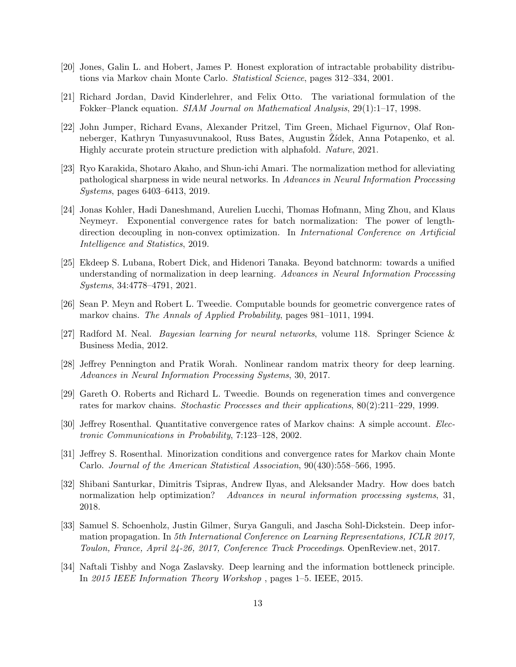- <span id="page-12-11"></span>[20] Jones, Galin L. and Hobert, James P. Honest exploration of intractable probability distributions via Markov chain Monte Carlo. Statistical Science, pages 312–334, 2001.
- <span id="page-12-3"></span>[21] Richard Jordan, David Kinderlehrer, and Felix Otto. The variational formulation of the Fokker–Planck equation. SIAM Journal on Mathematical Analysis, 29(1):1–17, 1998.
- <span id="page-12-0"></span>[22] John Jumper, Richard Evans, Alexander Pritzel, Tim Green, Michael Figurnov, Olaf Ronneberger, Kathryn Tunyasuvunakool, Russ Bates, Augustin Žídek, Anna Potapenko, et al. Highly accurate protein structure prediction with alphafold. Nature, 2021.
- <span id="page-12-14"></span>[23] Ryo Karakida, Shotaro Akaho, and Shun-ichi Amari. The normalization method for alleviating pathological sharpness in wide neural networks. In Advances in Neural Information Processing Systems, pages 6403–6413, 2019.
- <span id="page-12-6"></span>[24] Jonas Kohler, Hadi Daneshmand, Aurelien Lucchi, Thomas Hofmann, Ming Zhou, and Klaus Neymeyr. Exponential convergence rates for batch normalization: The power of lengthdirection decoupling in non-convex optimization. In International Conference on Artificial Intelligence and Statistics, 2019.
- <span id="page-12-5"></span>[25] Ekdeep S. Lubana, Robert Dick, and Hidenori Tanaka. Beyond batchnorm: towards a unified understanding of normalization in deep learning. Advances in Neural Information Processing Systems, 34:4778–4791, 2021.
- <span id="page-12-9"></span>[26] Sean P. Meyn and Robert L. Tweedie. Computable bounds for geometric convergence rates of markov chains. The Annals of Applied Probability, pages 981–1011, 1994.
- <span id="page-12-7"></span>[27] Radford M. Neal. Bayesian learning for neural networks, volume 118. Springer Science & Business Media, 2012.
- <span id="page-12-2"></span>[28] Jeffrey Pennington and Pratik Worah. Nonlinear random matrix theory for deep learning. Advances in Neural Information Processing Systems, 30, 2017.
- <span id="page-12-10"></span>[29] Gareth O. Roberts and Richard L. Tweedie. Bounds on regeneration times and convergence rates for markov chains. Stochastic Processes and their applications, 80(2):211–229, 1999.
- <span id="page-12-4"></span>[30] Jeffrey Rosenthal. Quantitative convergence rates of Markov chains: A simple account. Electronic Communications in Probability, 7:123–128, 2002.
- <span id="page-12-8"></span>[31] Jeffrey S. Rosenthal. Minorization conditions and convergence rates for Markov chain Monte Carlo. Journal of the American Statistical Association, 90(430):558–566, 1995.
- <span id="page-12-13"></span>[32] Shibani Santurkar, Dimitris Tsipras, Andrew Ilyas, and Aleksander Madry. How does batch normalization help optimization? Advances in neural information processing systems, 31, 2018.
- <span id="page-12-1"></span>[33] Samuel S. Schoenholz, Justin Gilmer, Surya Ganguli, and Jascha Sohl-Dickstein. Deep information propagation. In 5th International Conference on Learning Representations, ICLR 2017, Toulon, France, April 24-26, 2017, Conference Track Proceedings. OpenReview.net, 2017.
- <span id="page-12-12"></span>[34] Naftali Tishby and Noga Zaslavsky. Deep learning and the information bottleneck principle. In 2015 IEEE Information Theory Workshop , pages 1–5. IEEE, 2015.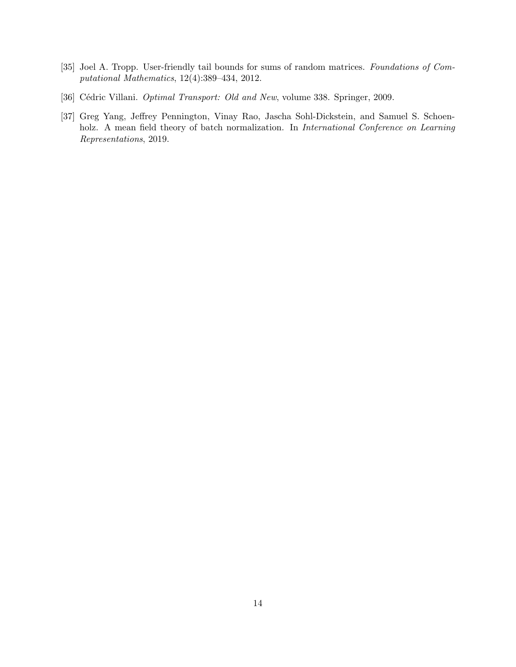- <span id="page-13-2"></span>[35] Joel A. Tropp. User-friendly tail bounds for sums of random matrices. Foundations of Computational Mathematics, 12(4):389–434, 2012.
- <span id="page-13-1"></span>[36] Cédric Villani. Optimal Transport: Old and New, volume 338. Springer, 2009.
- <span id="page-13-0"></span>[37] Greg Yang, Jeffrey Pennington, Vinay Rao, Jascha Sohl-Dickstein, and Samuel S. Schoenholz. A mean field theory of batch normalization. In International Conference on Learning Representations, 2019.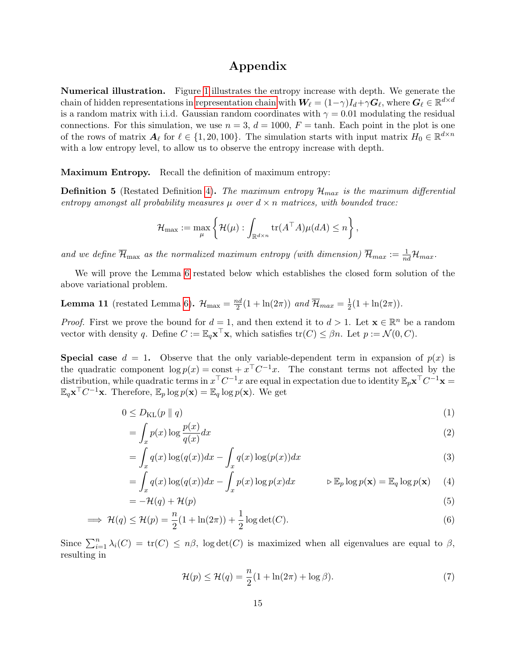## Appendix

Numerical illustration. Figure [1](#page-1-1) illustrates the entropy increase with depth. We generate the chain of hidden representations in [representation chain](#page-3-1) with  $\bm{W}_{\ell} = (1-\gamma)I_d + \gamma \bm{G}_{\ell}$ , where  $\bm{G}_{\ell} \in \mathbb{R}^{d \times d}$ is a random matrix with i.i.d. Gaussian random coordinates with  $\gamma = 0.01$  modulating the residual connections. For this simulation, we use  $n = 3$ ,  $d = 1000$ ,  $F = \tanh$ . Each point in the plot is one of the rows of matrix  $A_\ell$  for  $\ell \in \{1, 20, 100\}$ . The simulation starts with input matrix  $H_0 \in \mathbb{R}^{d \times n}$ with a low entropy level, to allow us to observe the entropy increase with depth.

Maximum Entropy. Recall the definition of maximum entropy:

**Definition 5** (Restated Definition [4\)](#page-5-0). The maximum entropy  $\mathcal{H}_{max}$  is the maximum differential entropy amongst all probability measures  $\mu$  over  $d \times n$  matrices, with bounded trace:

$$
\mathcal{H}_{\max} := \max_{\mu} \left\{ \mathcal{H}(\mu) : \int_{\mathbb{R}^{d \times n}} \text{tr}(A^{\top}A) \mu(dA) \leq n \right\},\
$$

and we define  $\overline{\mathcal{H}}_{\max}$  as the normalized maximum entropy (with dimension)  $\overline{\mathcal{H}}_{max} := \frac{1}{nd} \mathcal{H}_{max}$ .

We will prove the Lemma [6](#page-5-2) restated below which establishes the closed form solution of the above variational problem.

**Lemma 11** (restated Lemma [6\)](#page-5-2).  $\mathcal{H}_{\text{max}} = \frac{nd}{2}$  $\frac{2d}{2}(1+\ln(2\pi))$  and  $\overline{\mathcal{H}}_{max}=\frac{1}{2}$  $\frac{1}{2}(1 + \ln(2\pi)).$ 

*Proof.* First we prove the bound for  $d = 1$ , and then extend it to  $d > 1$ . Let  $\mathbf{x} \in \mathbb{R}^n$  be a random vector with density q. Define  $C := \mathbb{E}_q \mathbf{x}^\top \mathbf{x}$ , which satisfies  $tr(C) \leq \beta n$ . Let  $p := \mathcal{N}(0, C)$ .

**Special case**  $d = 1$ . Observe that the only variable-dependent term in expansion of  $p(x)$  is the quadratic component  $\log p(x) = \text{const} + x^{\top}C^{-1}x$ . The constant terms not affected by the distribution, while quadratic terms in  $x^{\top}C^{-1}x$  are equal in expectation due to identity  $\mathbb{E}_p\mathbf{x}^{\top}C^{-1}\mathbf{x} =$  $\mathbb{E}_q \mathbf{x}^\top C^{-1} \mathbf{x}$ . Therefore,  $\mathbb{E}_p \log p(\mathbf{x}) = \mathbb{E}_q \log p(\mathbf{x})$ . We get

$$
0 \le D_{\text{KL}}(p \parallel q) \tag{1}
$$

$$
= \int_{x} p(x) \log \frac{p(x)}{q(x)} dx \tag{2}
$$

$$
= \int_{x} q(x) \log(q(x)) dx - \int_{x} q(x) \log(p(x)) dx
$$
\n(3)

$$
= \int_{x} q(x) \log(q(x)) dx - \int_{x} p(x) \log p(x) dx \qquad \qquad \triangleright \mathbb{E}_{p} \log p(\mathbf{x}) = \mathbb{E}_{q} \log p(\mathbf{x}) \tag{4}
$$

$$
= -\mathcal{H}(q) + \mathcal{H}(p) \tag{5}
$$

$$
\implies \mathcal{H}(q) \le \mathcal{H}(p) = \frac{n}{2}(1 + \ln(2\pi)) + \frac{1}{2}\log\det(C). \tag{6}
$$

Since  $\sum_{i=1}^{n} \lambda_i(C) = \text{tr}(C) \leq n\beta$ , log det $(C)$  is maximized when all eigenvalues are equal to  $\beta$ , resulting in

$$
\mathcal{H}(p) \le \mathcal{H}(q) = \frac{n}{2}(1 + \ln(2\pi) + \log \beta). \tag{7}
$$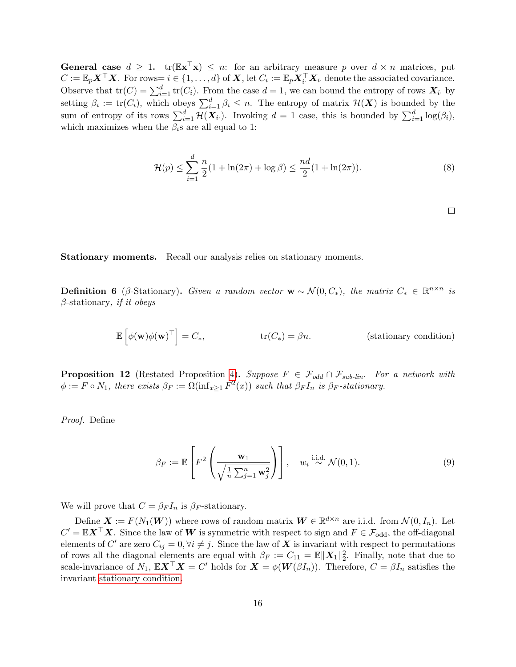**General case**  $d \geq 1$ .  $tr(\mathbb{E} \mathbf{x}^T \mathbf{x}) \leq n$ : for an arbitrary measure p over  $d \times n$  matrices, put  $C := \mathbb{E}_p \boldsymbol{X}^\top \boldsymbol{X}$ . For rows=  $i \in \{1, ..., d\}$  of  $\boldsymbol{X}$ , let  $C_i := \mathbb{E}_p \boldsymbol{X}_i^\top \boldsymbol{X}_i$ . denote the associated covariance. Observe that  $tr(C) = \sum_{i=1}^{d} tr(C_i)$ . From the case  $d = 1$ , we can bound the entropy of rows  $\mathbf{X}_i$ , by setting  $\beta_i := \text{tr}(C_i)$ , which obeys  $\sum_{i=1}^d \beta_i \leq n$ . The entropy of matrix  $\mathcal{H}(\boldsymbol{X})$  is bounded by the sum of entropy of its rows  $\sum_{i=1}^d \mathcal{H}(\mathbf{X}_i)$ . Invoking  $d=1$  case, this is bounded by  $\sum_{i=1}^d \log(\beta_i)$ , which maximizes when the  $\beta_i$ s are all equal to 1:

$$
\mathcal{H}(p) \le \sum_{i=1}^{d} \frac{n}{2} (1 + \ln(2\pi) + \log \beta) \le \frac{nd}{2} (1 + \ln(2\pi)).
$$
\n(8)

<span id="page-15-0"></span>

Stationary moments. Recall our analysis relies on stationary moments.

**Definition 6** (β-Stationary). Given a random vector  $\mathbf{w} \sim \mathcal{N}(0, C_*)$ , the matrix  $C_* \in \mathbb{R}^{n \times n}$  is  $\beta$ -stationary, if it obeys

$$
\mathbb{E}\left[\phi(\mathbf{w})\phi(\mathbf{w})^{\top}\right] = C_*, \qquad \text{tr}(C_*) = \beta n. \qquad \text{(stationary condition)}
$$

**Proposition 12** (Restated Proposition [4\)](#page-4-1). Suppose  $F \in \mathcal{F}_{odd} \cap \mathcal{F}_{sub-lin}$ . For a network with  $\phi := F \circ N_1$ , there exists  $\beta_F := \Omega(\inf_{x \geq 1} F^2(x))$  such that  $\beta_F I_n$  is  $\beta_F$ -stationary.

Proof. Define

$$
\beta_F := \mathbb{E}\left[F^2\left(\frac{\mathbf{w}_1}{\sqrt{\frac{1}{n}\sum_{j=1}^n \mathbf{w}_j^2}}\right)\right], \quad w_i \stackrel{\text{i.i.d.}}{\sim} \mathcal{N}(0, 1). \tag{9}
$$

We will prove that  $C = \beta_F I_n$  is  $\beta_F$ -stationary.

Define  $\mathbf{X} := F(N_1(\mathbf{W}))$  where rows of random matrix  $\mathbf{W} \in \mathbb{R}^{d \times n}$  are i.i.d. from  $\mathcal{N}(0, I_n)$ . Let  $C' = \mathbb{E} \boldsymbol{X}^\top \boldsymbol{X}$ . Since the law of  $\boldsymbol{W}$  is symmetric with respect to sign and  $F \in \mathcal{F}_{odd}$ , the off-diagonal elements of C' are zero  $C_{ij} = 0, \forall i \neq j$ . Since the law of X is invariant with respect to permutations of rows all the diagonal elements are equal with  $\beta_F := C_{11} = \mathbb{E} ||X_1||_2^2$ . Finally, note that due to scale-invariance of  $N_1$ ,  $\mathbb{E} \mathbf{X}^\top \mathbf{X} = C'$  holds for  $\mathbf{X} = \phi(\mathbf{W}(\beta I_n))$ . Therefore,  $C = \beta I_n$  satisfies the invariant [stationary condition.](#page-15-0)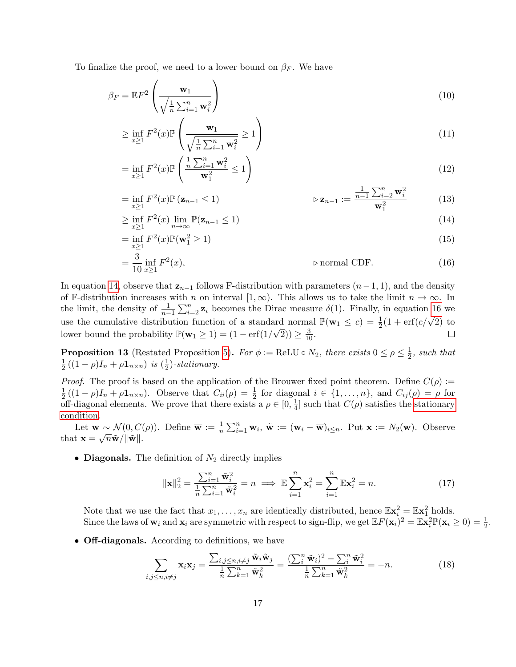To finalize the proof, we need to a lower bound on  $\beta_F$ . We have

$$
\beta_F = \mathbb{E}F^2 \left(\frac{\mathbf{w}_1}{\sqrt{\frac{1}{n}\sum_{i=1}^n \mathbf{w}_i^2}}\right) \tag{10}
$$

$$
\geq \inf_{x \geq 1} F^2(x) \mathbb{P}\left(\frac{\mathbf{w}_1}{\sqrt{\frac{1}{n}\sum_{i=1}^n \mathbf{w}_i^2}} \geq 1\right) \tag{11}
$$

$$
= \inf_{x \ge 1} F^2(x) \mathbb{P}\left(\frac{\frac{1}{n}\sum_{i=1}^n \mathbf{w}_i^2}{\mathbf{w}_1^2} \le 1\right) \tag{12}
$$

$$
= \inf_{x \ge 1} F^2(x) \mathbb{P}(\mathbf{z}_{n-1} \le 1) \qquad \qquad \triangleright \mathbf{z}_{n-1} := \frac{\frac{1}{n-1} \sum_{i=2}^n \mathbf{w}_i^2}{\mathbf{w}_1^2} \tag{13}
$$

<span id="page-16-0"></span>
$$
\geq \inf_{x \geq 1} F^2(x) \lim_{n \to \infty} \mathbb{P}(\mathbf{z}_{n-1} \leq 1) \tag{14}
$$

$$
= \inf_{x \ge 1} F^2(x) \mathbb{P}(\mathbf{w}_1^2 \ge 1) \tag{15}
$$

<span id="page-16-1"></span>
$$
= \frac{3}{10} \inf_{x \ge 1} F^2(x), \qquad \qquad \text{p normal CDF.} \tag{16}
$$

In equation [14,](#page-16-0) observe that  $z_{n-1}$  follows F-distribution with parameters  $(n-1, 1)$ , and the density of F-distribution increases with n on interval [1,  $\infty$ ). This allows us to take the limit  $n \to \infty$ . In the limit, the density of  $\frac{1}{n-1}\sum_{i=2}^n \mathbf{z}_i$  becomes the Dirac measure  $\delta(1)$ . Finally, in equation [16](#page-16-1) we use the cumulative distribution function of a standard normal  $\mathbb{P}(\mathbf{w}_1 \le c) = \frac{1}{2}(1 + \text{erf}(c/\sqrt{2}))$  to lower bound the probability  $\mathbb{P}(\mathbf{w}_1 \geq 1) = (1 - \text{erf}(1/\sqrt{2})) \geq \frac{3}{10}$ .  $\Box$ 

**Proposition 13** (Restated Proposition [5\)](#page-4-2). For  $\phi := \text{ReLU} \circ N_2$ , there exists  $0 \le \rho \le \frac{1}{2}$  $\frac{1}{2}$ , such that 1  $\frac{1}{2}((1 - \rho)I_n + \rho \mathbf{1}_{n \times n})$  is  $(\frac{1}{2})$  $(\frac{1}{2})$ -stationary.

*Proof.* The proof is based on the application of the Brouwer fixed point theorem. Define  $C(\rho)$  := 1  $\frac{1}{2}((1-\rho)I_n+\rho\mathbf{1}_{n\times n})$ . Observe that  $C_{ii}(\rho)=\frac{1}{2}$  for diagonal  $i \in \{1,\ldots,n\}$ , and  $C_{ij}(\rho)=\rho$  for off-diagonal elements. We prove that there exists a  $\rho \in [0, \frac{1}{4}]$  $\frac{1}{4}$  such that  $C(\rho)$  satisfies the [stationary](#page-15-0) [condition.](#page-15-0)

Let  $\mathbf{w} \sim \mathcal{N}(0, C(\rho)).$  Define  $\overline{\mathbf{w}} := \frac{1}{n} \sum_{i=1}^{n} \mathbf{w}_i$ ,  $\tilde{\mathbf{w}} := (\mathbf{w}_i - \overline{\mathbf{w}})_{i \leq n}$ . Put  $\mathbf{x} := N_2(\mathbf{w})$ . Observe that  $\mathbf{x} = \sqrt{n}\tilde{\mathbf{w}}/\|\tilde{\mathbf{w}}\|.$ 

• Diagonals. The definition of  $N_2$  directly implies

$$
\|\mathbf{x}\|_{2}^{2} = \frac{\sum_{i=1}^{n} \tilde{\mathbf{w}}_{i}^{2}}{\frac{1}{n} \sum_{i=1}^{n} \tilde{\mathbf{w}}_{i}^{2}} = n \implies \mathbb{E}\sum_{i=1}^{n} \mathbf{x}_{i}^{2} = \sum_{i=1}^{n} \mathbb{E}\mathbf{x}_{i}^{2} = n.
$$
 (17)

Note that we use the fact that  $x_1, \ldots, x_n$  are identically distributed, hence  $\mathbb{E} \mathbf{x}_i^2 = \mathbb{E} \mathbf{x}_1^2$  holds. Since the laws of  $\mathbf{w}_i$  and  $\mathbf{x}_i$  are symmetric with respect to sign-flip, we get  $\mathbb{E} F(\mathbf{x}_i)^2 = \mathbb{E} \mathbf{x}_i^2 \mathbb{P}(\mathbf{x}_i \geq 0) = \frac{1}{2}$ .

• **Off-diagonals.** According to definitions, we have

$$
\sum_{i,j\leq n,i\neq j} \mathbf{x}_i \mathbf{x}_j = \frac{\sum_{i,j\leq n,i\neq j} \tilde{\mathbf{w}}_i \tilde{\mathbf{w}}_j}{\frac{1}{n} \sum_{k=1}^n \tilde{\mathbf{w}}_k^2} = \frac{(\sum_i^n \tilde{\mathbf{w}}_i)^2 - \sum_i^n \tilde{\mathbf{w}}_i^2}{\frac{1}{n} \sum_{k=1}^n \tilde{\mathbf{w}}_k^2} = -n.
$$
 (18)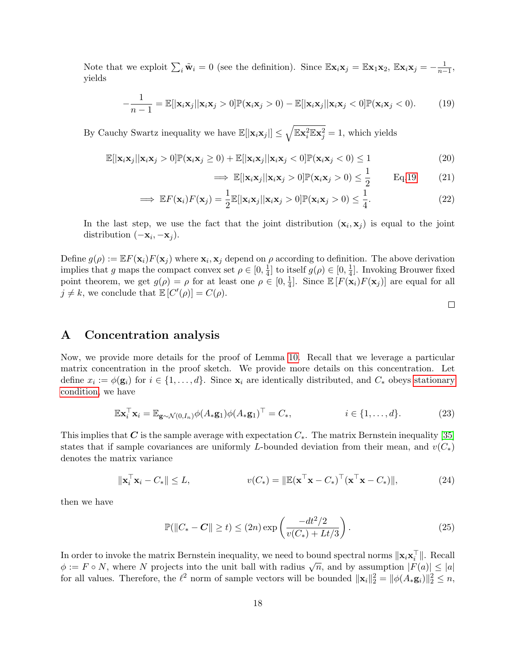Note that we exploit  $\sum_i \tilde{\mathbf{w}}_i = 0$  (see the definition). Since  $\mathbb{E} \mathbf{x}_i \mathbf{x}_j = \mathbb{E} \mathbf{x}_1 \mathbf{x}_2$ ,  $\mathbb{E} \mathbf{x}_i \mathbf{x}_j = -\frac{1}{n-1}$ , yields

$$
-\frac{1}{n-1} = \mathbb{E}[\lvert \mathbf{x}_i \mathbf{x}_j \rvert \lvert \mathbf{x}_i \mathbf{x}_j > 0] \mathbb{P}(\mathbf{x}_i \mathbf{x}_j > 0) - \mathbb{E}[\lvert \mathbf{x}_i \mathbf{x}_j \rvert \lvert \mathbf{x}_i \mathbf{x}_j < 0] \mathbb{P}(\mathbf{x}_i \mathbf{x}_j < 0). \tag{19}
$$

By Cauchy Swartz inequality we have  $\mathbb{E}[|{\bf x}_i {\bf x}_j|] \leq \sqrt{\mathbb{E} {\bf x}_i^2 \mathbb{E} {\bf x}_j^2} = 1$ , which yields

$$
\mathbb{E}[\|\mathbf{x}_{i}\mathbf{x}_{j}\|\mathbf{x}_{i}\mathbf{x}_{j} > 0]\mathbb{P}(\mathbf{x}_{i}\mathbf{x}_{j} \ge 0) + \mathbb{E}[\|\mathbf{x}_{i}\mathbf{x}_{j}\|\mathbf{x}_{i}\mathbf{x}_{j} < 0]\mathbb{P}(\mathbf{x}_{i}\mathbf{x}_{j} < 0) \le 1
$$
\n(20)

$$
\implies \mathbb{E}[\|\mathbf{x}_i\mathbf{x}_j\|\|\mathbf{x}_i\mathbf{x}_j > 0]\mathbb{P}(\mathbf{x}_i\mathbf{x}_j > 0) \le \frac{1}{2} \qquad \text{Eq.19} \tag{21}
$$

$$
\implies \mathbb{E}F(\mathbf{x}_i)F(\mathbf{x}_j) = \frac{1}{2}\mathbb{E}[\|\mathbf{x}_i\mathbf{x}_j\|\|\mathbf{x}_i\mathbf{x}_j > 0]\mathbb{P}(\mathbf{x}_i\mathbf{x}_j > 0) \le \frac{1}{4}.\tag{22}
$$

In the last step, we use the fact that the joint distribution  $(\mathbf{x}_i, \mathbf{x}_j)$  is equal to the joint distribution  $(-\mathbf{x}_i, -\mathbf{x}_j)$ .

Define  $g(\rho) := \mathbb{E} F(\mathbf{x}_i) F(\mathbf{x}_j)$  where  $\mathbf{x}_i, \mathbf{x}_j$  depend on  $\rho$  according to definition. The above derivation implies that g maps the compact convex set  $\rho \in [0, \frac{1}{4}]$  $\frac{1}{4}$  to itself  $g(\rho) \in [0, \frac{1}{4}]$  $\frac{1}{4}$ . Invoking Brouwer fixed point theorem, we get  $g(\rho) = \rho$  for at least one  $\rho \in [0, \frac{1}{4}]$  $\frac{1}{4}$ . Since  $\mathbb{E}\left[F(\mathbf{x}_i)F(\mathbf{x}_j)\right]$  are equal for all  $j \neq k$ , we conclude that  $\mathbb{E}[C'(\rho)] = C(\rho)$ .

<span id="page-17-1"></span>

### <span id="page-17-0"></span>A Concentration analysis

Now, we provide more details for the proof of Lemma [10.](#page-7-1) Recall that we leverage a particular matrix concentration in the proof sketch. We provide more details on this concentration. Let define  $x_i := \phi(\mathbf{g}_i)$  for  $i \in \{1, ..., d\}$ . Since  $\mathbf{x}_i$  are identically distributed, and  $C_*$  obeys [stationary](#page-15-0) [condition,](#page-15-0) we have

$$
\mathbb{E} \mathbf{x}_i^\top \mathbf{x}_i = \mathbb{E}_{\mathbf{g} \sim \mathcal{N}(0, I_n)} \phi(A_* \mathbf{g}_1) \phi(A_* \mathbf{g}_1)^\top = C_*, \qquad i \in \{1, \dots, d\}.
$$
 (23)

This implies that C is the sample average with expectation  $C_*$ . The matrix Bernstein inequality [\[35\]](#page-13-2) states that if sample covariances are uniformly L-bounded deviation from their mean, and  $v(C_*)$ denotes the matrix variance

$$
\|\mathbf{x}_i^{\top}\mathbf{x}_i - C_*\| \le L, \qquad v(C_*) = \|\mathbb{E}(\mathbf{x}^{\top}\mathbf{x} - C_*)^{\top}(\mathbf{x}^{\top}\mathbf{x} - C_*)\|,\tag{24}
$$

then we have

$$
\mathbb{P}(\|C_* - C\| \ge t) \le (2n) \exp\left(\frac{-dt^2/2}{v(C_*) + Lt/3}\right). \tag{25}
$$

In order to invoke the matrix Bernstein inequality, we need to bound spectral norms  $\|\mathbf{x}_i\mathbf{x}_i^{\top}\|$ . Recall in order to invoke the matrix bernstein inequality, we need to bound spectral norms  $\|\mathbf{x}_i \mathbf{x}_i\|$ . Recall  $\phi := F \circ N$ , where N projects into the unit ball with radius  $\sqrt{n}$ , and by assumption  $|F(a)| \le |a|$ for all values. Therefore, the  $\ell^2$  norm of sample vectors will be bounded  $\|\mathbf{x}_i\|_2^2 = \|\phi(A_*\mathbf{g}_i)\|_2^2 \leq n$ ,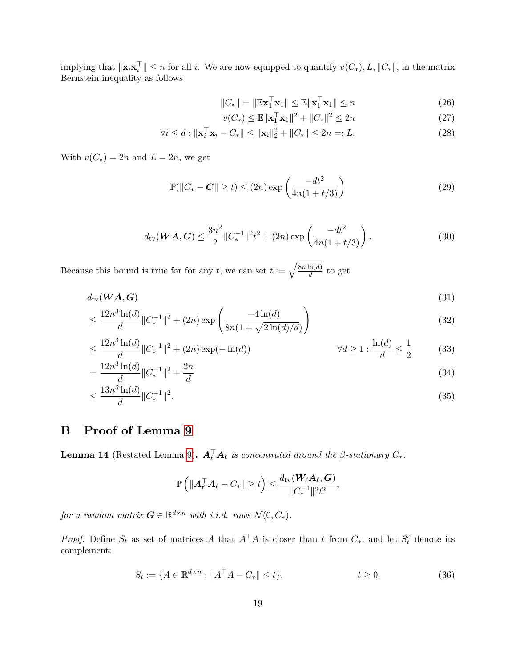implying that  $\|\mathbf{x}_i\mathbf{x}_i^{\top}\| \leq n$  for all i. We are now equipped to quantify  $v(C_*)$ , L,  $||C_*||$ , in the matrix Bernstein inequality as follows

$$
||C_*|| = ||\mathbb{E}\mathbf{x}_1^\top \mathbf{x}_1|| \le \mathbb{E}||\mathbf{x}_1^\top \mathbf{x}_1|| \le n
$$
\n(26)

$$
v(C_*) \le \mathbb{E} \| \mathbf{x}_1^{\top} \mathbf{x}_1 \|^2 + \| C_* \|^2 \le 2n \tag{27}
$$

$$
\forall i \le d : \|\mathbf{x}_i^{\top}\mathbf{x}_i - C_*\| \le \|\mathbf{x}_i\|_2^2 + \|C_*\| \le 2n =: L. \tag{28}
$$

With  $v(C_*) = 2n$  and  $L = 2n$ , we get

$$
\mathbb{P}(\|C_* - C\| \ge t) \le (2n) \exp\left(\frac{-dt^2}{4n(1+t/3)}\right)
$$
 (29)

$$
d_{\text{tv}}(\boldsymbol{W}\boldsymbol{A},\boldsymbol{G}) \le \frac{3n^2}{2} \|C_*^{-1}\|^2 t^2 + (2n) \exp\left(\frac{-dt^2}{4n(1+t/3)}\right). \tag{30}
$$

Because this bound is true for for any t, we can set  $t := \sqrt{\frac{8n \ln(d)}{d}}$  $\frac{\ln(a)}{d}$  to get

$$
d_{\text{tv}}(\boldsymbol{W}\boldsymbol{A},\boldsymbol{G})\tag{31}
$$

$$
\leq \frac{12n^3\ln(d)}{d} \|C_*^{-1}\|^2 + (2n)\exp\left(\frac{-4\ln(d)}{8n(1+\sqrt{2\ln(d)/d})}\right) \tag{32}
$$

$$
\leq \frac{12n^3\ln(d)}{d} \|C_*^{-1}\|^2 + (2n)\exp(-\ln(d)) \qquad \qquad \forall d \geq 1 : \frac{\ln(d)}{d} \leq \frac{1}{2} \qquad (33)
$$

$$
=\frac{12n^3\ln(d)}{d}\|C_*^{-1}\|^2 + \frac{2n}{d} \tag{34}
$$

$$
\leq \frac{13n^3\ln(d)}{d} \|C_*^{-1}\|^2. \tag{35}
$$

# B Proof of Lemma [9](#page-7-2)

**Lemma 14** (Restated Lemma [9\)](#page-7-2).  $\mathbf{A}_{\ell}^{\top} \mathbf{A}_{\ell}$  is concentrated around the  $\beta$ -stationary  $C_*$ :

$$
\mathbb{P}\left(\|\boldsymbol{A}_{\ell}^{\top}\boldsymbol{A}_{\ell}-C_{*}\|\geq t\right)\leq\frac{d_{\mathrm{tv}}(\boldsymbol{W}_{\ell}\boldsymbol{A}_{\ell},\boldsymbol{G})}{\|C_{*}^{-1}\|^{2}t^{2}},
$$

for a random matrix  $\mathbf{G} \in \mathbb{R}^{d \times n}$  with i.i.d. rows  $\mathcal{N}(0, C_*)$ .

*Proof.* Define  $S_t$  as set of matrices A that  $A^{\top}A$  is closer than t from  $C_*$ , and let  $S_t^c$  denote its complement:

$$
S_t := \{ A \in \mathbb{R}^{d \times n} : \| A^\top A - C_* \| \le t \}, \qquad t \ge 0. \tag{36}
$$